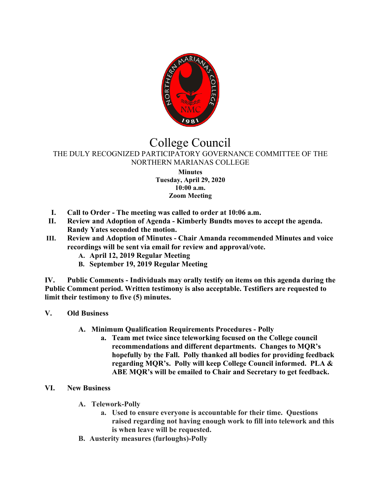

## College Council

## THE DULY RECOGNIZED PARTICIPATORY GOVERNANCE COMMITTEE OF THE NORTHERN MARIANAS COLLEGE

**Minutes Tuesday, April 29, 2020 10:00 a.m. Zoom Meeting**

- **I. Call to Order - The meeting was called to order at 10:06 a.m.**
- **II. Review and Adoption of Agenda - Kimberly Bundts moves to accept the agenda. Randy Yates seconded the motion.**
- **III. Review and Adoption of Minutes - Chair Amanda recommended Minutes and voice recordings will be sent via email for review and approval/vote.**
	- **A. April 12, 2019 Regular Meeting**
	- **B. September 19, 2019 Regular Meeting**

**IV. Public Comments - Individuals may orally testify on items on this agenda during the Public Comment period. Written testimony is also acceptable. Testifiers are requested to limit their testimony to five (5) minutes.**

- **V. Old Business**
	- **A. Minimum Qualification Requirements Procedures - Polly**
		- **a. Team met twice since teleworking focused on the College council recommendations and different departments. Changes to MQR's hopefully by the Fall. Polly thanked all bodies for providing feedback regarding MQR's. Polly will keep College Council informed. PLA & ABE MQR's will be emailed to Chair and Secretary to get feedback.**

## **VI. New Business**

- **A. Telework-Polly**
	- **a. Used to ensure everyone is accountable for their time. Questions raised regarding not having enough work to fill into telework and this is when leave will be requested.**
- **B. Austerity measures (furloughs)-Polly**